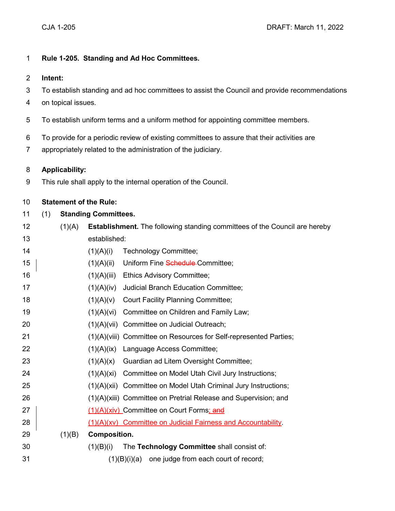## **Rule 1-205. Standing and Ad Hoc Committees.**

- **Intent:**
- To establish standing and ad hoc committees to assist the Council and provide recommendations
- on topical issues.
- To establish uniform terms and a uniform method for appointing committee members.
- To provide for a periodic review of existing committees to assure that their activities are
- appropriately related to the administration of the judiciary.

## **Applicability:**

This rule shall apply to the internal operation of the Council.

## **Statement of the Rule:**

# (1) **Standing Committees.**

- (1)(A) **Establishment.** The following standing committees of the Council are hereby established:
- 14 (1)(A)(i) Technology Committee; 15 | (1)(A)(ii) Uniform Fine Schedule Committee; (1)(A)(iii) Ethics Advisory Committee; (1)(A)(iv) Judicial Branch Education Committee; (1)(A)(v) Court Facility Planning Committee; (1)(A)(vi) Committee on Children and Family Law; (1)(A)(vii) Committee on Judicial Outreach; (1)(A)(viii) Committee on Resources for Self-represented Parties; (1)(A)(ix) Language Access Committee; (1)(A)(x) Guardian ad Litem Oversight Committee; 24 (1)(A)(xi) Committee on Model Utah Civil Jury Instructions; (1)(A)(xii) Committee on Model Utah Criminal Jury Instructions; (1)(A)(xiii) Committee on Pretrial Release and Supervision; and 27 | (1)(A)(xiv) Committee on Court Forms; and 28 |  $(1)(A)(xv)$  Committee on Judicial Fairness and Accountability. (1)(B) **Composition.** (1)(B)(i) The **Technology Committee** shall consist of:  $(1)(B)(i)(a)$  one judge from each court of record;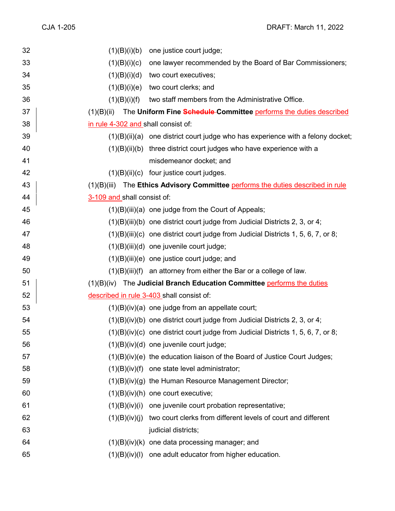| 32 | (1)(B)(i)(b)                        | one justice court judge;                                                            |
|----|-------------------------------------|-------------------------------------------------------------------------------------|
| 33 | (1)(B)(i)(c)                        | one lawyer recommended by the Board of Bar Commissioners;                           |
| 34 | (1)(B)(i)(d)                        | two court executives;                                                               |
| 35 | (1)(B)(i)(e)                        | two court clerks; and                                                               |
| 36 | (1)(B)(i)(f)                        | two staff members from the Administrative Office.                                   |
| 37 | (1)(B)(ii)                          | The Uniform Fine Schedule-Committee performs the duties described                   |
| 38 | in rule 4-302 and shall consist of: |                                                                                     |
| 39 |                                     | $(1)(B)(ii)(a)$ one district court judge who has experience with a felony docket;   |
| 40 |                                     | $(1)(B)(ii)(b)$ three district court judges who have experience with a              |
| 41 |                                     | misdemeanor docket; and                                                             |
| 42 |                                     | $(1)(B)(ii)(c)$ four justice court judges.                                          |
| 43 |                                     | (1)(B)(iii) The Ethics Advisory Committee performs the duties described in rule     |
| 44 | 3-109 and shall consist of:         |                                                                                     |
| 45 |                                     | $(1)(B)(iii)(a)$ one judge from the Court of Appeals;                               |
| 46 |                                     | $(1)(B)(iii)(b)$ one district court judge from Judicial Districts 2, 3, or 4;       |
| 47 |                                     | $(1)(B)(iii)(c)$ one district court judge from Judicial Districts 1, 5, 6, 7, or 8; |
| 48 |                                     | $(1)(B)(iii)(d)$ one juvenile court judge;                                          |
| 49 |                                     | $(1)(B)(iii)(e)$ one justice court judge; and                                       |
| 50 |                                     | $(1)(B)(iii)(f)$ an attorney from either the Bar or a college of law.               |
| 51 |                                     | $(1)(B)(iv)$ The Judicial Branch Education Committee performs the duties            |
| 52 |                                     | described in rule 3-403 shall consist of:                                           |
| 53 |                                     | $(1)(B)(iv)(a)$ one judge from an appellate court;                                  |
| 54 |                                     | $(1)(B)(iv)(b)$ one district court judge from Judicial Districts 2, 3, or 4;        |
| 55 |                                     | (1)(B)(iv)(c) one district court judge from Judicial Districts 1, 5, 6, 7, or 8;    |
| 56 |                                     | $(1)(B)(iv)(d)$ one juvenile court judge;                                           |
| 57 |                                     | $(1)(B)(iv)(e)$ the education liaison of the Board of Justice Court Judges;         |
| 58 |                                     | $(1)(B)(iv)(f)$ one state level administrator;                                      |
| 59 |                                     | (1)(B)(iv)(g) the Human Resource Management Director;                               |
| 60 |                                     | $(1)(B)(iv)(h)$ one court executive;                                                |
| 61 |                                     | $(1)(B)(iv)(i)$ one juvenile court probation representative;                        |
| 62 |                                     | (1)(B)(iv)(j) two court clerks from different levels of court and different         |
| 63 |                                     | judicial districts;                                                                 |
| 64 |                                     | (1)(B)(iv)(k) one data processing manager; and                                      |
| 65 |                                     | $(1)(B)(iv)(I)$ one adult educator from higher education.                           |
|    |                                     |                                                                                     |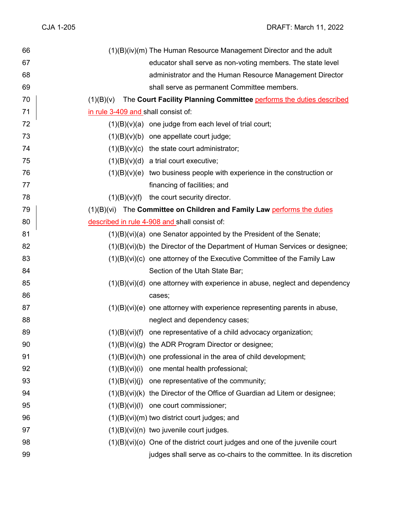| 66 |                                     | (1)(B)(iv)(m) The Human Resource Management Director and the adult              |
|----|-------------------------------------|---------------------------------------------------------------------------------|
| 67 |                                     | educator shall serve as non-voting members. The state level                     |
| 68 |                                     | administrator and the Human Resource Management Director                        |
| 69 |                                     | shall serve as permanent Committee members.                                     |
| 70 |                                     | $(1)(B)(v)$ The Court Facility Planning Committee performs the duties described |
| 71 | in rule 3-409 and shall consist of: |                                                                                 |
| 72 |                                     | $(1)(B)(v)(a)$ one judge from each level of trial court;                        |
| 73 |                                     | $(1)(B)(v)(b)$ one appellate court judge;                                       |
| 74 |                                     | $(1)(B)(v)(c)$ the state court administrator;                                   |
| 75 |                                     | $(1)(B)(v)(d)$ a trial court executive;                                         |
| 76 |                                     | $(1)(B)(v)(e)$ two business people with experience in the construction or       |
| 77 |                                     | financing of facilities; and                                                    |
| 78 | (1)(B)(v)(f)                        | the court security director.                                                    |
| 79 |                                     | $(1)(B)(vi)$ The Committee on Children and Family Law performs the duties       |
| 80 |                                     | described in rule 4-908 and shall consist of:                                   |
| 81 |                                     | $(1)(B)(vi)(a)$ one Senator appointed by the President of the Senate;           |
| 82 |                                     | (1)(B)(vi)(b) the Director of the Department of Human Services or designee;     |
| 83 |                                     | $(1)(B)(vi)(c)$ one attorney of the Executive Committee of the Family Law       |
| 84 |                                     | Section of the Utah State Bar;                                                  |
| 85 |                                     | $(1)(B)(vi)(d)$ one attorney with experience in abuse, neglect and dependency   |
| 86 |                                     | cases;                                                                          |
| 87 |                                     | $(1)(B)(vi)(e)$ one attorney with experience representing parents in abuse,     |
| 88 |                                     | neglect and dependency cases;                                                   |
| 89 |                                     | $(1)(B)(vi)(f)$ one representative of a child advocacy organization;            |
| 90 |                                     | $(1)(B)(vi)(g)$ the ADR Program Director or designee;                           |
| 91 |                                     | $(1)(B)(vi)(h)$ one professional in the area of child development;              |
| 92 |                                     | (1)(B)(vi)(i) one mental health professional;                                   |
| 93 |                                     | $(1)(B)(vi)(j)$ one representative of the community;                            |
| 94 |                                     | (1)(B)(vi)(k) the Director of the Office of Guardian ad Litem or designee;      |
| 95 |                                     | $(1)(B)(vi)(I)$ one court commissioner;                                         |
| 96 |                                     | $(1)(B)(vi)(m)$ two district court judges; and                                  |
| 97 |                                     | $(1)(B)(vi)(n)$ two juvenile court judges.                                      |
| 98 |                                     | $(1)(B)(vi)(o)$ One of the district court judges and one of the juvenile court  |
| 99 |                                     | judges shall serve as co-chairs to the committee. In its discretion             |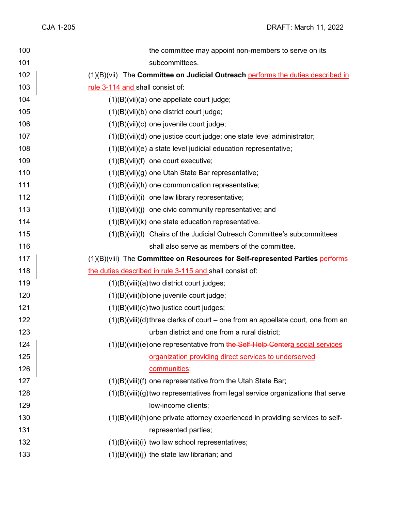| 100 | the committee may appoint non-members to serve on its                              |
|-----|------------------------------------------------------------------------------------|
| 101 | subcommittees.                                                                     |
| 102 | (1)(B)(vii) The Committee on Judicial Outreach performs the duties described in    |
| 103 | rule 3-114 and shall consist of:                                                   |
| 104 | $(1)(B)(vii)(a)$ one appellate court judge;                                        |
| 105 | (1)(B)(vii)(b) one district court judge;                                           |
| 106 | $(1)(B)(vii)(c)$ one juvenile court judge;                                         |
| 107 | $(1)(B)(vii)(d)$ one justice court judge; one state level administrator;           |
| 108 | $(1)(B)(vii)(e)$ a state level judicial education representative;                  |
| 109 | $(1)(B)(Vii)(f)$ one court executive;                                              |
| 110 | $(1)(B)(vii)(g)$ one Utah State Bar representative;                                |
| 111 | $(1)(B)(vii)(h)$ one communication representative;                                 |
| 112 | $(1)(B)(Vii)(i)$ one law library representative;                                   |
| 113 | $(1)(B)(vii)(i)$ one civic community representative; and                           |
| 114 | $(1)(B)(Vii)(k)$ one state education representative.                               |
| 115 | (1)(B)(vii)(I) Chairs of the Judicial Outreach Committee's subcommittees           |
| 116 | shall also serve as members of the committee.                                      |
|     |                                                                                    |
| 117 | (1)(B)(viii) The Committee on Resources for Self-represented Parties performs      |
| 118 | the duties described in rule 3-115 and shall consist of:                           |
| 119 | (1)(B)(viii)(a) two district court judges;                                         |
| 120 | (1)(B)(viii)(b) one juvenile court judge;                                          |
| 121 | $(1)(B)(viii)(c)$ two justice court judges;                                        |
| 122 | $(1)(B)(viii)(d)$ three clerks of court – one from an appellate court, one from an |
| 123 | urban district and one from a rural district;                                      |
| 124 | (1)(B)(viii)(e) one representative from the Self-Help Centera social services      |
| 125 | organization providing direct services to underserved                              |
| 126 | communities;                                                                       |
| 127 | (1)(B)(viii)(f) one representative from the Utah State Bar;                        |
| 128 | $(1)(B)(viii)(g)$ two representatives from legal service organizations that serve  |
| 129 | low-income clients;                                                                |
| 130 | (1)(B)(viii)(h) one private attorney experienced in providing services to self-    |
| 131 | represented parties;                                                               |
| 132 | $(1)(B)(viii)(i)$ two law school representatives;                                  |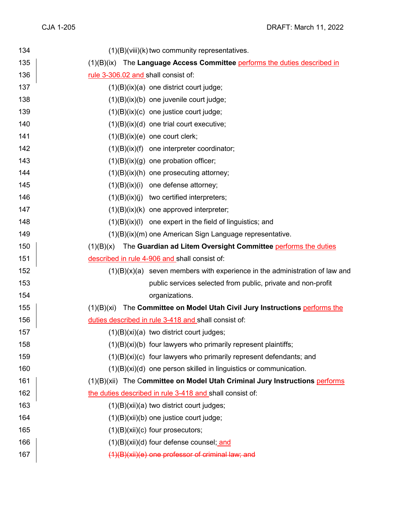| 134 | $(1)(B)(viii)(k)$ two community representatives.                               |
|-----|--------------------------------------------------------------------------------|
| 135 | (1)(B)(ix) The Language Access Committee performs the duties described in      |
| 136 | rule 3-306.02 and shall consist of:                                            |
| 137 | $(1)(B)(ix)(a)$ one district court judge;                                      |
| 138 | $(1)(B)(ix)(b)$ one juvenile court judge;                                      |
| 139 | $(1)(B)(ix)(c)$ one justice court judge;                                       |
| 140 | $(1)(B)(ix)(d)$ one trial court executive;                                     |
| 141 | $(1)(B)(ix)(e)$ one court clerk;                                               |
| 142 | $(1)(B)(ix)(f)$ one interpreter coordinator;                                   |
| 143 | $(1)(B)(ix)(g)$ one probation officer;                                         |
| 144 | $(1)(B)(ix)(h)$ one prosecuting attorney;                                      |
| 145 | $(1)(B)(ix)(i)$ one defense attorney;                                          |
| 146 | $(1)(B)(ix)(j)$ two certified interpreters;                                    |
| 147 | $(1)(B)(ix)(k)$ one approved interpreter;                                      |
| 148 | $(1)(B)(ix)(I)$ one expert in the field of linguistics; and                    |
| 149 | (1)(B)(ix)(m) one American Sign Language representative.                       |
| 150 | The Guardian ad Litem Oversight Committee performs the duties<br>(1)(B)(x)     |
| 151 | described in rule 4-906 and shall consist of:                                  |
| 152 | $(1)(B)(x)(a)$ seven members with experience in the administration of law and  |
| 153 | public services selected from public, private and non-profit                   |
| 154 | organizations.                                                                 |
| 155 | The Committee on Model Utah Civil Jury Instructions performs the<br>(1)(B)(xi) |
| 156 | duties described in rule 3-418 and shall consist of:                           |
| 157 | $(1)(B)(xi)(a)$ two district court judges;                                     |
| 158 | $(1)(B)(xi)(b)$ four lawyers who primarily represent plaintiffs;               |
| 159 | $(1)(B)(xi)(c)$ four lawyers who primarily represent defendants; and           |
| 160 | $(1)(B)(xi)(d)$ one person skilled in linguistics or communication.            |
| 161 | (1)(B)(xii) The Committee on Model Utah Criminal Jury Instructions performs    |
| 162 | the duties described in rule 3-418 and shall consist of:                       |
| 163 | $(1)(B)(xii)(a)$ two district court judges;                                    |
| 164 | (1)(B)(xii)(b) one justice court judge;                                        |
| 165 | $(1)(B)(xii)(c)$ four prosecutors;                                             |
| 166 | (1)(B)(xii)(d) four defense counsel; and                                       |
| 167 | (1)(B)(xii)(e) one professor of criminal law; and                              |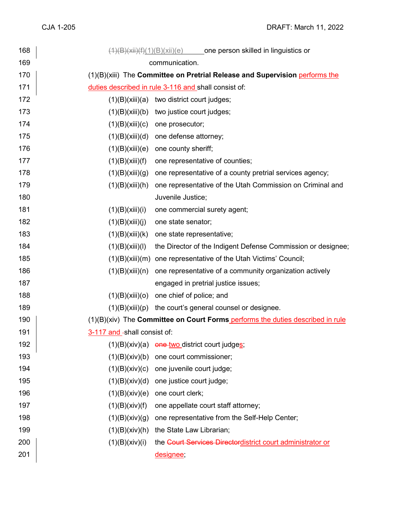| 168 | $(1)(B)(xii)(f)(1)(B)(xii)(e)$ one person skilled in linguistics or             |
|-----|---------------------------------------------------------------------------------|
| 169 | communication.                                                                  |
| 170 | (1)(B)(xiii) The Committee on Pretrial Release and Supervision performs the     |
| 171 | duties described in rule 3-116 and shall consist of:                            |
| 172 | (1)(B)(xiii)(a)<br>two district court judges;                                   |
| 173 | (1)(B)(xiii)(b)<br>two justice court judges;                                    |
| 174 | (1)(B)(xiii)(c)<br>one prosecutor;                                              |
| 175 | one defense attorney;<br>(1)(B)(xiii)(d)                                        |
| 176 | one county sheriff;<br>(1)(B)(xiii)(e)                                          |
| 177 | (1)(B)(xiii)(f)<br>one representative of counties;                              |
| 178 | (1)(B)(xiii)(g)<br>one representative of a county pretrial services agency;     |
| 179 | one representative of the Utah Commission on Criminal and<br>(1)(B)(xiii)(h)    |
| 180 | Juvenile Justice;                                                               |
| 181 | (1)(B)(xiii)(i)<br>one commercial surety agent;                                 |
| 182 | (1)(B)(xiii)(j)<br>one state senator;                                           |
| 183 | (1)(B)(xiii)(k)<br>one state representative;                                    |
| 184 | (1)(B)(xiii)(I)<br>the Director of the Indigent Defense Commission or designee; |
| 185 | (1)(B)(xiii)(m)<br>one representative of the Utah Victims' Council;             |
| 186 | one representative of a community organization actively<br>(1)(B)(xiii)(n)      |
| 187 | engaged in pretrial justice issues;                                             |
| 188 | one chief of police; and<br>(1)(B)(xiii)(o)                                     |
| 189 | (1)(B)(xiii)(p)<br>the court's general counsel or designee.                     |
| 190 | (1)(B)(xiv) The Committee on Court Forms performs the duties described in rule  |
| 191 | 3-117 and -shall consist of:                                                    |
| 192 | (1)(B)(xiv)(a)<br>one two district court judges;                                |
| 193 | (1)(B)(xiv)(b)<br>one court commissioner;                                       |
| 194 | (1)(B)(xiv)(c)<br>one juvenile court judge;                                     |
| 195 | one justice court judge;<br>(1)(B)(xiv)(d)                                      |
| 196 | one court clerk;<br>(1)(B)(xiv)(e)                                              |
| 197 | (1)(B)(xiv)(f)<br>one appellate court staff attorney;                           |
| 198 | one representative from the Self-Help Center;<br>(1)(B)(xiv)(g)                 |
| 199 | the State Law Librarian;<br>(1)(B)(xiv)(h)                                      |
| 200 | the Court Services Directordistrict court administrator or<br>(1)(B)(xiv)(i)    |
| 201 | designee;                                                                       |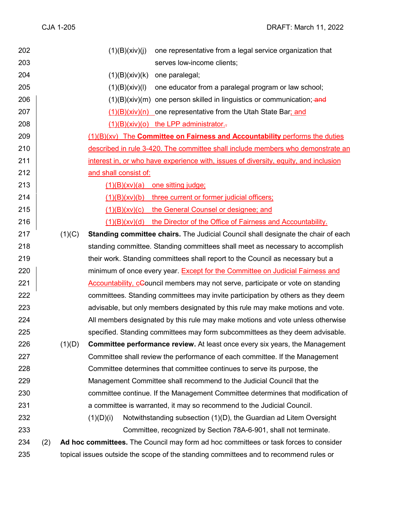| 202 |     |        | one representative from a legal service organization that<br>(1)(B)(xiv)(j)            |
|-----|-----|--------|----------------------------------------------------------------------------------------|
| 203 |     |        | serves low-income clients;                                                             |
| 204 |     |        | (1)(B)(xiv)(k)<br>one paralegal;                                                       |
| 205 |     |        | (1)(B)(xiv)(I)<br>one educator from a paralegal program or law school;                 |
| 206 |     |        | $(1)(B)(xiv)(m)$ one person skilled in linguistics or communication; and               |
| 207 |     |        | $(1)(B)(xiv)(n)$ one representative from the Utah State Bar; and                       |
| 208 |     |        | $(1)(B)(xiv)(o)$ the LPP administrator.                                                |
| 209 |     |        | (1)(B)(xv) The Committee on Fairness and Accountability performs the duties            |
| 210 |     |        | described in rule 3-420. The committee shall include members who demonstrate an        |
| 211 |     |        | interest in, or who have experience with, issues of diversity, equity, and inclusion   |
| 212 |     |        | and shall consist of:                                                                  |
| 213 |     |        | $(1)(B)(x)(a)$ one sitting judge;                                                      |
| 214 |     |        | $(1)(B)(xv)(b)$ three current or former judicial officers;                             |
| 215 |     |        | (1)(B)(xv)(c) the General Counsel or designee; and                                     |
| 216 |     |        | (1)(B)(xv)(d) the Director of the Office of Fairness and Accountability.               |
| 217 |     | (1)(C) | Standing committee chairs. The Judicial Council shall designate the chair of each      |
| 218 |     |        | standing committee. Standing committees shall meet as necessary to accomplish          |
| 219 |     |        | their work. Standing committees shall report to the Council as necessary but a         |
| 220 |     |        | minimum of once every year. Except for the Committee on Judicial Fairness and          |
| 221 |     |        | <b>Accountability, cCouncil members may not serve, participate or vote on standing</b> |
| 222 |     |        | committees. Standing committees may invite participation by others as they deem        |
| 223 |     |        | advisable, but only members designated by this rule may make motions and vote.         |
| 224 |     |        | All members designated by this rule may make motions and vote unless otherwise         |
| 225 |     |        | specified. Standing committees may form subcommittees as they deem advisable.          |
| 226 |     | (1)(D) | <b>Committee performance review.</b> At least once every six years, the Management     |
| 227 |     |        | Committee shall review the performance of each committee. If the Management            |
| 228 |     |        | Committee determines that committee continues to serve its purpose, the                |
| 229 |     |        | Management Committee shall recommend to the Judicial Council that the                  |
| 230 |     |        | committee continue. If the Management Committee determines that modification of        |
| 231 |     |        | a committee is warranted, it may so recommend to the Judicial Council.                 |
| 232 |     |        | Notwithstanding subsection (1)(D), the Guardian ad Litem Oversight<br>(1)(D)(i)        |
| 233 |     |        | Committee, recognized by Section 78A-6-901, shall not terminate.                       |
| 234 | (2) |        | Ad hoc committees. The Council may form ad hoc committees or task forces to consider   |
| 235 |     |        | topical issues outside the scope of the standing committees and to recommend rules or  |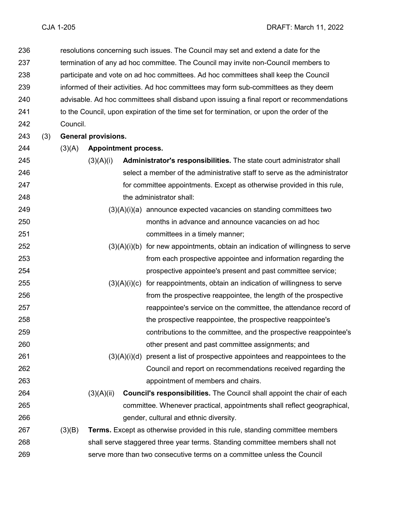resolutions concerning such issues. The Council may set and extend a date for the termination of any ad hoc committee. The Council may invite non-Council members to participate and vote on ad hoc committees. Ad hoc committees shall keep the Council informed of their activities. Ad hoc committees may form sub-committees as they deem advisable. Ad hoc committees shall disband upon issuing a final report or recommendations 241 to the Council, upon expiration of the time set for termination, or upon the order of the Council.

(3) **General provisions.**

#### (3)(A) **Appointment process.**

- (3)(A)(i) **Administrator's responsibilities.** The state court administrator shall select a member of the administrative staff to serve as the administrator for committee appointments. Except as otherwise provided in this rule, the administrator shall:
- (3)(A)(i)(a) announce expected vacancies on standing committees two months in advance and announce vacancies on ad hoc committees in a timely manner;
- $(3)(A)(i)(b)$  for new appointments, obtain an indication of willingness to serve from each prospective appointee and information regarding the prospective appointee's present and past committee service;
- (3)(A)(i)(c) for reappointments, obtain an indication of willingness to serve from the prospective reappointee, the length of the prospective reappointee's service on the committee, the attendance record of the prospective reappointee, the prospective reappointee's contributions to the committee, and the prospective reappointee's other present and past committee assignments; and
- $(3)(A)(i)(d)$  present a list of prospective appointees and reappointees to the Council and report on recommendations received regarding the appointment of members and chairs.
- (3)(A)(ii) **Council's responsibilities.** The Council shall appoint the chair of each committee. Whenever practical, appointments shall reflect geographical, gender, cultural and ethnic diversity.
- (3)(B) **Terms.** Except as otherwise provided in this rule, standing committee members shall serve staggered three year terms. Standing committee members shall not serve more than two consecutive terms on a committee unless the Council